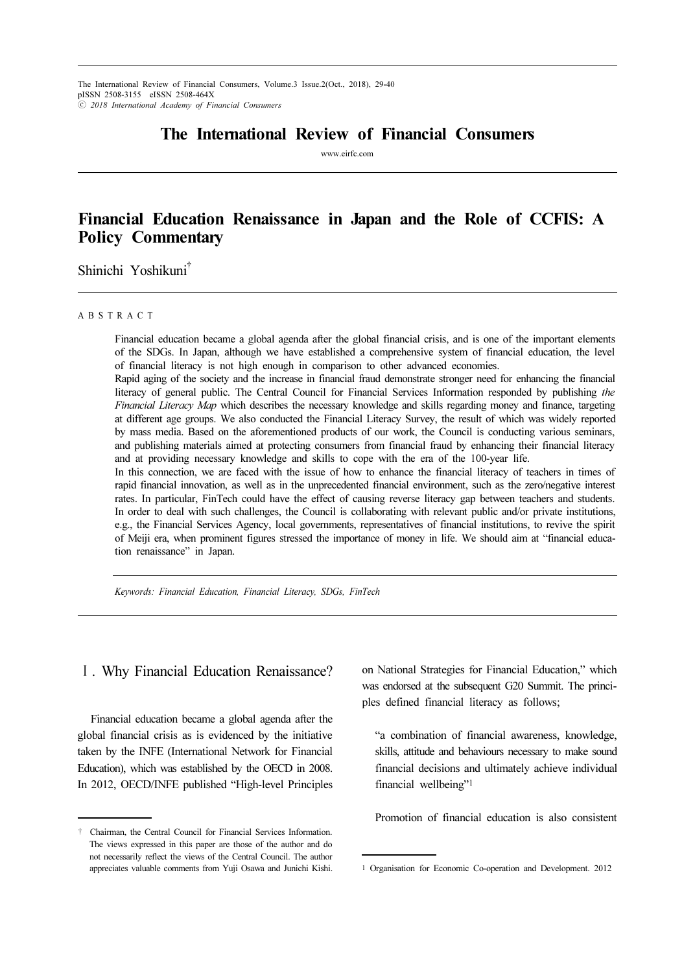The International Review of Financial Consumers, Volume.3 Issue.2(Oct., 2018), 29-40 pISSN 2508-3155 eISSN 2508-464X ⓒ 2018 International Academy of Financial Consumers

# The International Review of Financial Consumers

www.eirfc.com

# Financial Education Renaissance in Japan and the Role of CCFIS: A Policy Commentary

Shinichi Yoshikuni†

### A B S T R A C T

Financial education became a global agenda after the global financial crisis, and is one of the important elements of the SDGs. In Japan, although we have established a comprehensive system of financial education, the level of financial literacy is not high enough in comparison to other advanced economies.

Rapid aging of the society and the increase in financial fraud demonstrate stronger need for enhancing the financial literacy of general public. The Central Council for Financial Services Information responded by publishing the Financial Literacy Map which describes the necessary knowledge and skills regarding money and finance, targeting at different age groups. We also conducted the Financial Literacy Survey, the result of which was widely reported by mass media. Based on the aforementioned products of our work, the Council is conducting various seminars, and publishing materials aimed at protecting consumers from financial fraud by enhancing their financial literacy and at providing necessary knowledge and skills to cope with the era of the 100-year life.

In this connection, we are faced with the issue of how to enhance the financial literacy of teachers in times of rapid financial innovation, as well as in the unprecedented financial environment, such as the zero/negative interest rates. In particular, FinTech could have the effect of causing reverse literacy gap between teachers and students. In order to deal with such challenges, the Council is collaborating with relevant public and/or private institutions, e.g., the Financial Services Agency, local governments, representatives of financial institutions, to revive the spirit of Meiji era, when prominent figures stressed the importance of money in life. We should aim at "financial education renaissance" in Japan.

Keywords: Financial Education, Financial Literacy, SDGs, FinTech

## Ⅰ. Why Financial Education Renaissance?

Financial education became a global agenda after the global financial crisis as is evidenced by the initiative taken by the INFE (International Network for Financial Education), which was established by the OECD in 2008. In 2012, OECD/INFE published "High-level Principles

on National Strategies for Financial Education," which was endorsed at the subsequent G20 Summit. The principles defined financial literacy as follows;

"a combination of financial awareness, knowledge, skills, attitude and behaviours necessary to make sound financial decisions and ultimately achieve individual financial wellbeing"<sup>1</sup>

Promotion of financial education is also consistent

<sup>†</sup> Chairman, the Central Council for Financial Services Information. The views expressed in this paper are those of the author and do not necessarily reflect the views of the Central Council. The author appreciates valuable comments from Yuji Osawa and Junichi Kishi.

<sup>1</sup> Organisation for Economic Co-operation and Development. 2012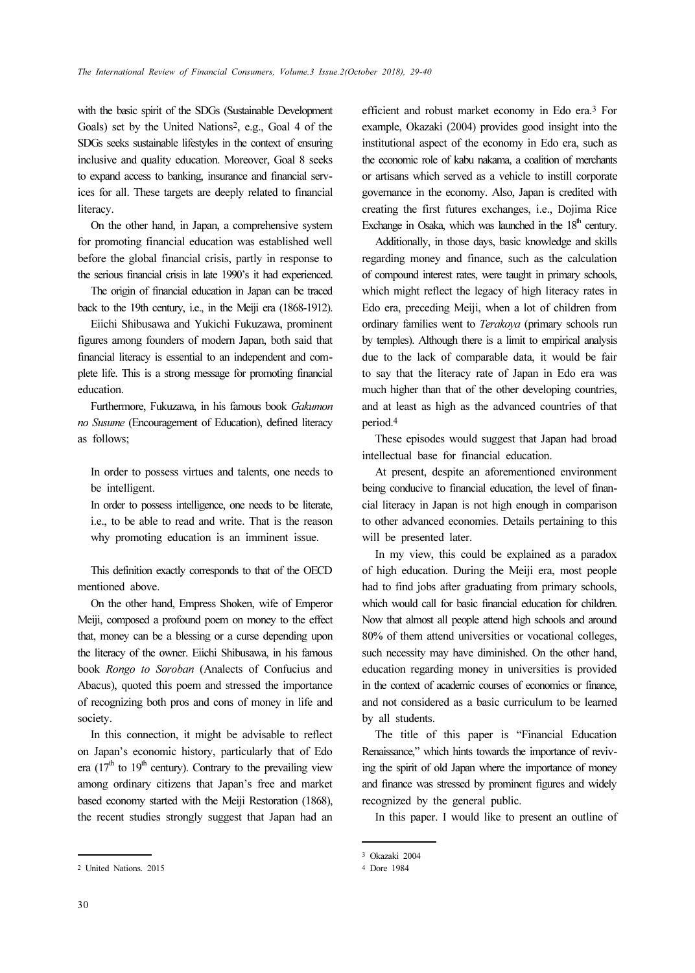with the basic spirit of the SDGs (Sustainable Development Goals) set by the United Nations2, e.g., Goal 4 of the SDGs seeks sustainable lifestyles in the context of ensuring inclusive and quality education. Moreover, Goal 8 seeks to expand access to banking, insurance and financial services for all. These targets are deeply related to financial literacy.

On the other hand, in Japan, a comprehensive system for promoting financial education was established well before the global financial crisis, partly in response to the serious financial crisis in late 1990's it had experienced.

The origin of financial education in Japan can be traced back to the 19th century, i.e., in the Meiji era (1868-1912).

Eiichi Shibusawa and Yukichi Fukuzawa, prominent figures among founders of modern Japan, both said that financial literacy is essential to an independent and complete life. This is a strong message for promoting financial education.

Furthermore, Fukuzawa, in his famous book Gakumon no Susume (Encouragement of Education), defined literacy as follows;

In order to possess virtues and talents, one needs to be intelligent.

In order to possess intelligence, one needs to be literate, i.e., to be able to read and write. That is the reason why promoting education is an imminent issue.

This definition exactly corresponds to that of the OECD mentioned above.

On the other hand, Empress Shoken, wife of Emperor Meiji, composed a profound poem on money to the effect that, money can be a blessing or a curse depending upon the literacy of the owner. Eiichi Shibusawa, in his famous book Rongo to Soroban (Analects of Confucius and Abacus), quoted this poem and stressed the importance of recognizing both pros and cons of money in life and society.

In this connection, it might be advisable to reflect on Japan's economic history, particularly that of Edo era  $(17<sup>th</sup>$  to  $19<sup>th</sup>$  century). Contrary to the prevailing view among ordinary citizens that Japan's free and market based economy started with the Meiji Restoration (1868), the recent studies strongly suggest that Japan had an

30

efficient and robust market economy in Edo era.3 For example, Okazaki (2004) provides good insight into the institutional aspect of the economy in Edo era, such as the economic role of kabu nakama, a coalition of merchants or artisans which served as a vehicle to instill corporate governance in the economy. Also, Japan is credited with creating the first futures exchanges, i.e., Dojima Rice Exchange in Osaka, which was launched in the  $18<sup>th</sup>$  century.

Additionally, in those days, basic knowledge and skills regarding money and finance, such as the calculation of compound interest rates, were taught in primary schools, which might reflect the legacy of high literacy rates in Edo era, preceding Meiji, when a lot of children from ordinary families went to Terakoya (primary schools run by temples). Although there is a limit to empirical analysis due to the lack of comparable data, it would be fair to say that the literacy rate of Japan in Edo era was much higher than that of the other developing countries, and at least as high as the advanced countries of that period.<sup>4</sup>

These episodes would suggest that Japan had broad intellectual base for financial education.

At present, despite an aforementioned environment being conducive to financial education, the level of financial literacy in Japan is not high enough in comparison to other advanced economies. Details pertaining to this will be presented later.

In my view, this could be explained as a paradox of high education. During the Meiji era, most people had to find jobs after graduating from primary schools, which would call for basic financial education for children. Now that almost all people attend high schools and around 80% of them attend universities or vocational colleges, such necessity may have diminished. On the other hand, education regarding money in universities is provided in the context of academic courses of economics or finance, and not considered as a basic curriculum to be learned by all students.

The title of this paper is "Financial Education Renaissance," which hints towards the importance of reviving the spirit of old Japan where the importance of money and finance was stressed by prominent figures and widely recognized by the general public.

In this paper. I would like to present an outline of

<sup>2</sup> United Nations. 2015

<sup>3</sup> Okazaki 2004

<sup>4</sup> Dore 1984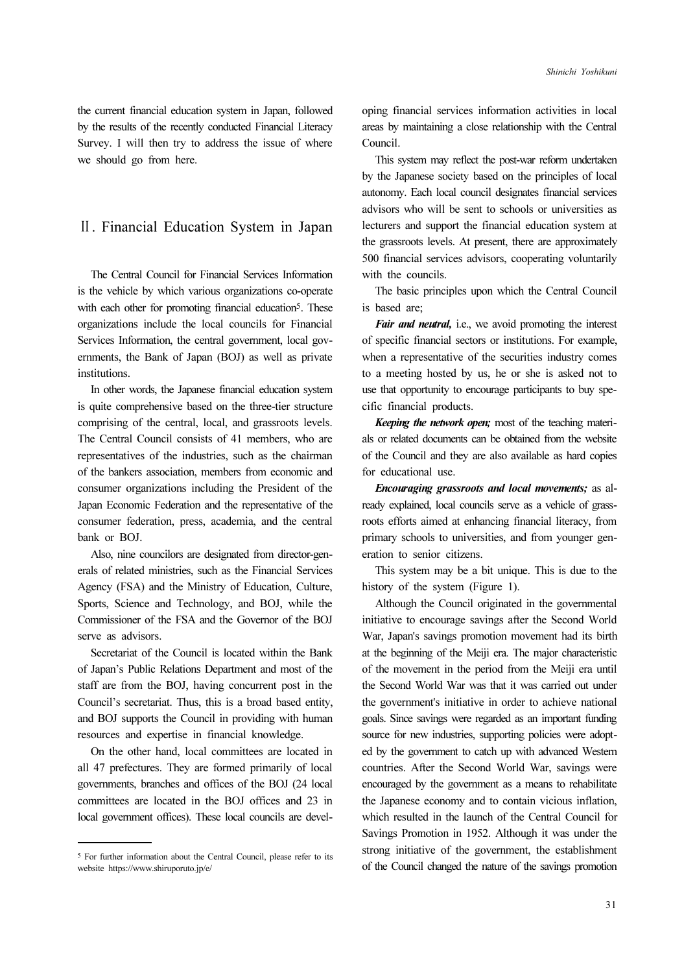the current financial education system in Japan, followed by the results of the recently conducted Financial Literacy Survey. I will then try to address the issue of where we should go from here.

## Ⅱ. Financial Education System in Japan

The Central Council for Financial Services Information is the vehicle by which various organizations co-operate with each other for promoting financial education<sup>5</sup>. These organizations include the local councils for Financial Services Information, the central government, local governments, the Bank of Japan (BOJ) as well as private institutions.

In other words, the Japanese financial education system is quite comprehensive based on the three-tier structure comprising of the central, local, and grassroots levels. The Central Council consists of 41 members, who are representatives of the industries, such as the chairman of the bankers association, members from economic and consumer organizations including the President of the Japan Economic Federation and the representative of the consumer federation, press, academia, and the central bank or BOJ.

Also, nine councilors are designated from director-generals of related ministries, such as the Financial Services Agency (FSA) and the Ministry of Education, Culture, Sports, Science and Technology, and BOJ, while the Commissioner of the FSA and the Governor of the BOJ serve as advisors.

Secretariat of the Council is located within the Bank of Japan's Public Relations Department and most of the staff are from the BOJ, having concurrent post in the Council's secretariat. Thus, this is a broad based entity, and BOJ supports the Council in providing with human resources and expertise in financial knowledge.

On the other hand, local committees are located in all 47 prefectures. They are formed primarily of local governments, branches and offices of the BOJ (24 local committees are located in the BOJ offices and 23 in local government offices). These local councils are developing financial services information activities in local areas by maintaining a close relationship with the Central Council.

This system may reflect the post-war reform undertaken by the Japanese society based on the principles of local autonomy. Each local council designates financial services advisors who will be sent to schools or universities as lecturers and support the financial education system at the grassroots levels. At present, there are approximately 500 financial services advisors, cooperating voluntarily with the councils.

The basic principles upon which the Central Council is based are;

Fair and neutral, i.e., we avoid promoting the interest of specific financial sectors or institutions. For example, when a representative of the securities industry comes to a meeting hosted by us, he or she is asked not to use that opportunity to encourage participants to buy specific financial products.

Keeping the network open; most of the teaching materials or related documents can be obtained from the website of the Council and they are also available as hard copies for educational use.

Encouraging grassroots and local movements; as already explained, local councils serve as a vehicle of grassroots efforts aimed at enhancing financial literacy, from primary schools to universities, and from younger generation to senior citizens.

This system may be a bit unique. This is due to the history of the system (Figure 1).

Although the Council originated in the governmental initiative to encourage savings after the Second World War, Japan's savings promotion movement had its birth at the beginning of the Meiji era. The major characteristic of the movement in the period from the Meiji era until the Second World War was that it was carried out under the government's initiative in order to achieve national goals. Since savings were regarded as an important funding source for new industries, supporting policies were adopted by the government to catch up with advanced Western countries. After the Second World War, savings were encouraged by the government as a means to rehabilitate the Japanese economy and to contain vicious inflation, which resulted in the launch of the Central Council for Savings Promotion in 1952. Although it was under the strong initiative of the government, the establishment of the Council changed the nature of the savings promotion

<sup>5</sup> For further information about the Central Council, please refer to its website https://www.shiruporuto.jp/e/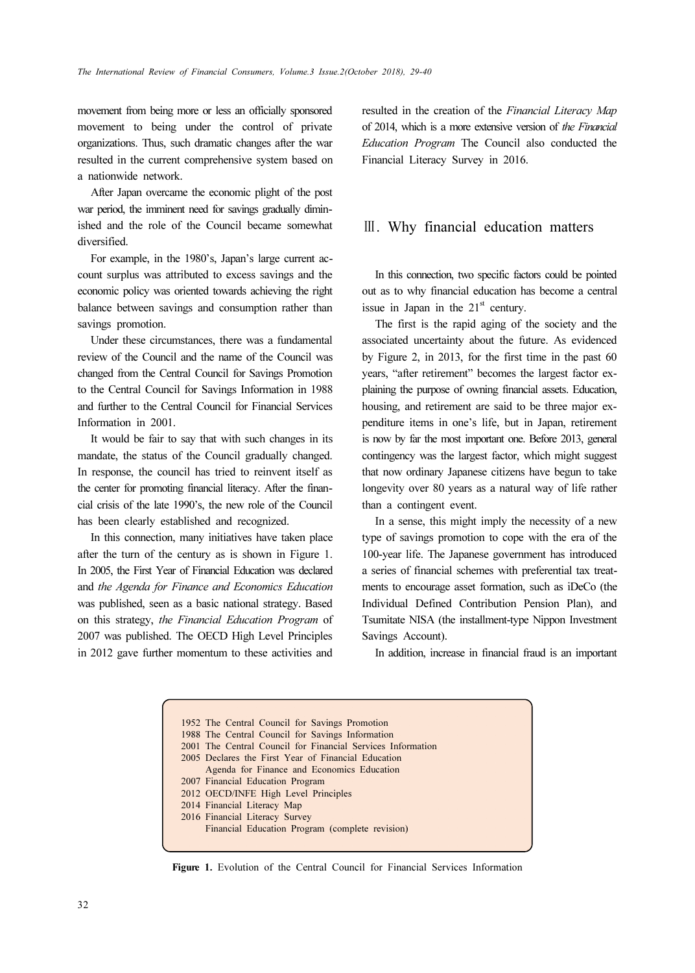movement from being more or less an officially sponsored movement to being under the control of private organizations. Thus, such dramatic changes after the war resulted in the current comprehensive system based on a nationwide network.

After Japan overcame the economic plight of the post war period, the imminent need for savings gradually diminished and the role of the Council became somewhat diversified.

For example, in the 1980's, Japan's large current account surplus was attributed to excess savings and the economic policy was oriented towards achieving the right balance between savings and consumption rather than savings promotion.

Under these circumstances, there was a fundamental review of the Council and the name of the Council was changed from the Central Council for Savings Promotion to the Central Council for Savings Information in 1988 and further to the Central Council for Financial Services Information in 2001.

It would be fair to say that with such changes in its mandate, the status of the Council gradually changed. In response, the council has tried to reinvent itself as the center for promoting financial literacy. After the financial crisis of the late 1990's, the new role of the Council has been clearly established and recognized.

In this connection, many initiatives have taken place after the turn of the century as is shown in Figure 1. In 2005, the First Year of Financial Education was declared and the Agenda for Finance and Economics Education was published, seen as a basic national strategy. Based on this strategy, the Financial Education Program of 2007 was published. The OECD High Level Principles in 2012 gave further momentum to these activities and resulted in the creation of the Financial Literacy Map of 2014, which is a more extensive version of the Financial Education Program The Council also conducted the Financial Literacy Survey in 2016.

## Ⅲ. Why financial education matters

In this connection, two specific factors could be pointed out as to why financial education has become a central issue in Japan in the  $21<sup>st</sup>$  century.

The first is the rapid aging of the society and the associated uncertainty about the future. As evidenced by Figure 2, in 2013, for the first time in the past 60 years, "after retirement" becomes the largest factor explaining the purpose of owning financial assets. Education, housing, and retirement are said to be three major expenditure items in one's life, but in Japan, retirement is now by far the most important one. Before 2013, general contingency was the largest factor, which might suggest that now ordinary Japanese citizens have begun to take longevity over 80 years as a natural way of life rather than a contingent event.

In a sense, this might imply the necessity of a new type of savings promotion to cope with the era of the 100-year life. The Japanese government has introduced a series of financial schemes with preferential tax treatments to encourage asset formation, such as iDeCo (the Individual Defined Contribution Pension Plan), and Tsumitate NISA (the installment-type Nippon Investment Savings Account).

In addition, increase in financial fraud is an important

1952 The Central Council for Savings Promotion 1988 The Central Council for Savings Information 2001 The Central Council for Financial Services Information 2005 Declares the First Year of Financial Education Agenda for Finance and Economics Education 2007 Financial Education Program 2012 OECD/INFE High Level Principles 2014 Financial Literacy Map 2016 Financial Literacy Survey Financial Education Program (complete revision)

Figure 1. Evolution of the Central Council for Financial Services Information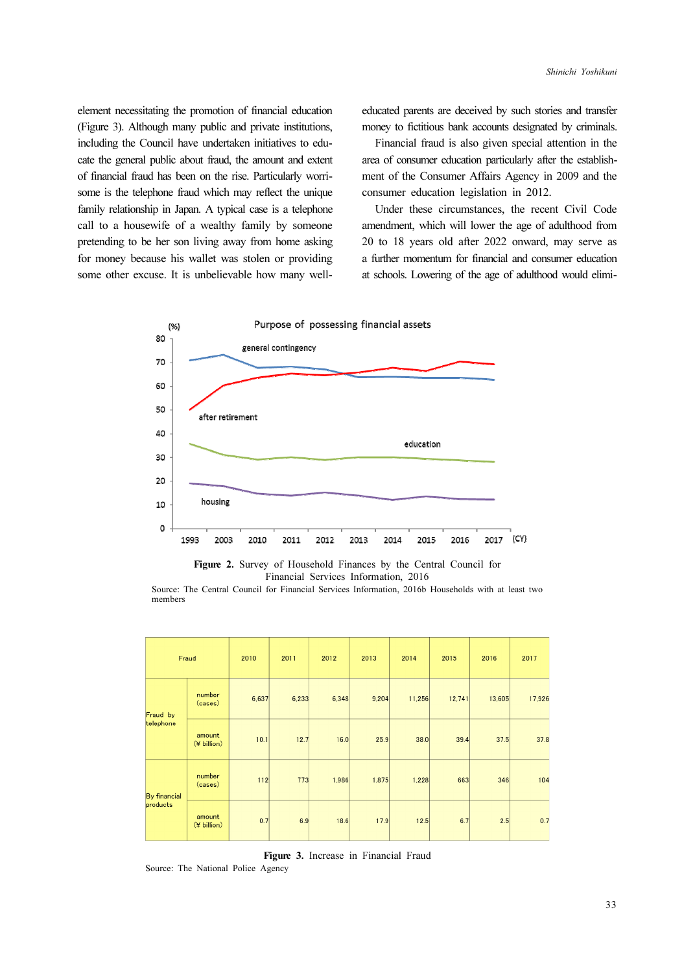element necessitating the promotion of financial education (Figure 3). Although many public and private institutions, including the Council have undertaken initiatives to educate the general public about fraud, the amount and extent of financial fraud has been on the rise. Particularly worrisome is the telephone fraud which may reflect the unique family relationship in Japan. A typical case is a telephone call to a housewife of a wealthy family by someone pretending to be her son living away from home asking for money because his wallet was stolen or providing some other excuse. It is unbelievable how many welleducated parents are deceived by such stories and transfer money to fictitious bank accounts designated by criminals.

Financial fraud is also given special attention in the area of consumer education particularly after the establishment of the Consumer Affairs Agency in 2009 and the consumer education legislation in 2012.

Under these circumstances, the recent Civil Code amendment, which will lower the age of adulthood from 20 to 18 years old after 2022 onward, may serve as a further momentum for financial and consumer education at schools. Lowering of the age of adulthood would elimi-



Figure 2. Survey of Household Finances by the Central Council for Financial Services Information, 2016

Source: The Central Council for Financial Services Information, 2016b Households with at least two members

| Fraud                           |                       | 2010  | 2011  | 2012  | 2013  | 2014   | 2015   | 2016   | 2017   |
|---------------------------------|-----------------------|-------|-------|-------|-------|--------|--------|--------|--------|
| Fraud by<br>telephone           | number<br>(cases)     | 6,637 | 6,233 | 6,348 | 9,204 | 11,256 | 12,741 | 13,605 | 17,926 |
|                                 | amount<br>(¥ billion) | 10.1  | 12.7  | 16.0  | 25.9  | 38.0   | 39.4   | 37.5   | 37.8   |
| <b>By financial</b><br>products | number<br>(cases)     | $112$ | 773   | 1,986 | 1,875 | 1,228  | 663    | 346    | 104    |
|                                 | amount<br>(¥ billion) | 0.7   | 6.9   | 18.6  | 17.9  | 12.5   | 6.7    | 2.5    | 0.7    |

Figure 3. Increase in Financial Fraud

Source: The National Police Agency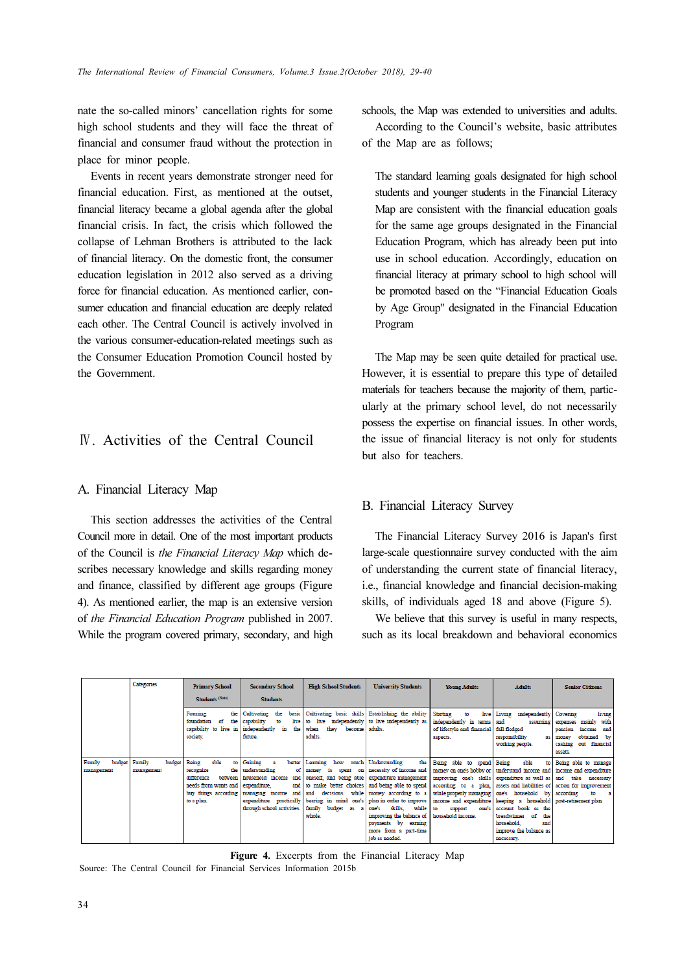nate the so-called minors' cancellation rights for some high school students and they will face the threat of financial and consumer fraud without the protection in place for minor people.

Events in recent years demonstrate stronger need for financial education. First, as mentioned at the outset, financial literacy became a global agenda after the global financial crisis. In fact, the crisis which followed the collapse of Lehman Brothers is attributed to the lack of financial literacy. On the domestic front, the consumer education legislation in 2012 also served as a driving force for financial education. As mentioned earlier, consumer education and financial education are deeply related each other. The Central Council is actively involved in the various consumer-education-related meetings such as the Consumer Education Promotion Council hosted by the Government.

# Ⅳ. Activities of the Central Council

### A. Financial Literacy Map

This section addresses the activities of the Central Council more in detail. One of the most important products of the Council is the Financial Literacy Map which describes necessary knowledge and skills regarding money and finance, classified by different age groups (Figure 4). As mentioned earlier, the map is an extensive version of the Financial Education Program published in 2007. While the program covered primary, secondary, and high schools, the Map was extended to universities and adults.

According to the Council's website, basic attributes of the Map are as follows;

The standard learning goals designated for high school students and younger students in the Financial Literacy Map are consistent with the financial education goals for the same age groups designated in the Financial Education Program, which has already been put into use in school education. Accordingly, education on financial literacy at primary school to high school will be promoted based on the "Financial Education Goals by Age Group" designated in the Financial Education Program

The Map may be seen quite detailed for practical use. However, it is essential to prepare this type of detailed materials for teachers because the majority of them, particularly at the primary school level, do not necessarily possess the expertise on financial issues. In other words, the issue of financial literacy is not only for students but also for teachers.

### B. Financial Literacy Survey

The Financial Literacy Survey 2016 is Japan's first large-scale questionnaire survey conducted with the aim of understanding the current state of financial literacy, i.e., financial knowledge and financial decision-making skills, of individuals aged 18 and above (Figure 5).

We believe that this survey is useful in many respects, such as its local breakdown and behavioral economics

|                                | Categories                     | <b>Primary School</b>                                                                                                            | <b>Secondary School</b>                                                                                                | <b>High School Students</b>                                                                  | <b>University Students</b>                                                                                                                                                                                                                                                                                                                                                                                                                                                                                                                                                                                                                                                                                                                                              | <b>Young Adults</b>                               | <b>Adults</b>                                                                                                          | <b>Senior Citizens</b>                                                                                                                   |
|--------------------------------|--------------------------------|----------------------------------------------------------------------------------------------------------------------------------|------------------------------------------------------------------------------------------------------------------------|----------------------------------------------------------------------------------------------|-------------------------------------------------------------------------------------------------------------------------------------------------------------------------------------------------------------------------------------------------------------------------------------------------------------------------------------------------------------------------------------------------------------------------------------------------------------------------------------------------------------------------------------------------------------------------------------------------------------------------------------------------------------------------------------------------------------------------------------------------------------------------|---------------------------------------------------|------------------------------------------------------------------------------------------------------------------------|------------------------------------------------------------------------------------------------------------------------------------------|
|                                |                                | Students <sup>(Note)</sup>                                                                                                       | <b>Students</b>                                                                                                        |                                                                                              |                                                                                                                                                                                                                                                                                                                                                                                                                                                                                                                                                                                                                                                                                                                                                                         |                                                   |                                                                                                                        |                                                                                                                                          |
|                                |                                | Forming<br>the<br>foundation<br>of<br>the<br>capability to live in<br>society.                                                   | Cultivating<br>the<br>capability<br>live<br>independently<br>in<br>future.                                             | the when they<br>become  <br>adults.                                                         | basic Cultivating basic skills Establishing the ability Starting<br>to live independently to live independently as independently in terms and<br>adults.                                                                                                                                                                                                                                                                                                                                                                                                                                                                                                                                                                                                                | to<br>of lifestyle and financial<br>aspects.      | live Living independently<br>assuming<br>full-fledged<br>responsibility<br>as<br>working people.                       | living<br>Covering<br>mainly with<br>expenses<br>and<br>pension<br>income<br>obtained by<br>money<br>cashing<br>out financial<br>assets. |
| Family<br>budget<br>management | budget<br>Family<br>manazement | able<br>Being<br>to<br>the<br>recognize<br>difference<br>between<br>needs from wants and I<br>buy things according<br>to a plan. | Gaining<br>better<br>A<br>understanding<br>οf<br>expenditure.<br>managing income and and<br>through school activities. | Learning how<br>money is spent<br>decisions<br>family<br>budget as<br>$\mathbf{a}$<br>whole. | nuch Understanding<br>on necessity of income and money on one's hobby or understand income and income and expenditure<br>household income and oneself, and being able expenditure management   improving one's skills expenditure as well as   and take necessary<br>and to make better choices and being able to spend according to a plan assets and liabilities of action for improvement<br>while money according to a while properly managing one's household by according<br>expenditure practically bearing in mind one's plan in order to improve income and expenditure keeping a household post-retirement plan.<br>skills. while to<br>one's<br>improving the balance of household income.<br>payments by earning<br>more from a part-time<br>job as needed. | the Being able to spend Being<br>support<br>one's | able<br>to<br>account book as the<br>breadwinner of<br>the<br>household.<br>and<br>inprove the balance as<br>necessary | Being able to manage<br>to<br>$\mathbf{a}$                                                                                               |

Figure 4. Excerpts from the Financial Literacy Map

Source: The Central Council for Financial Services Information 2015b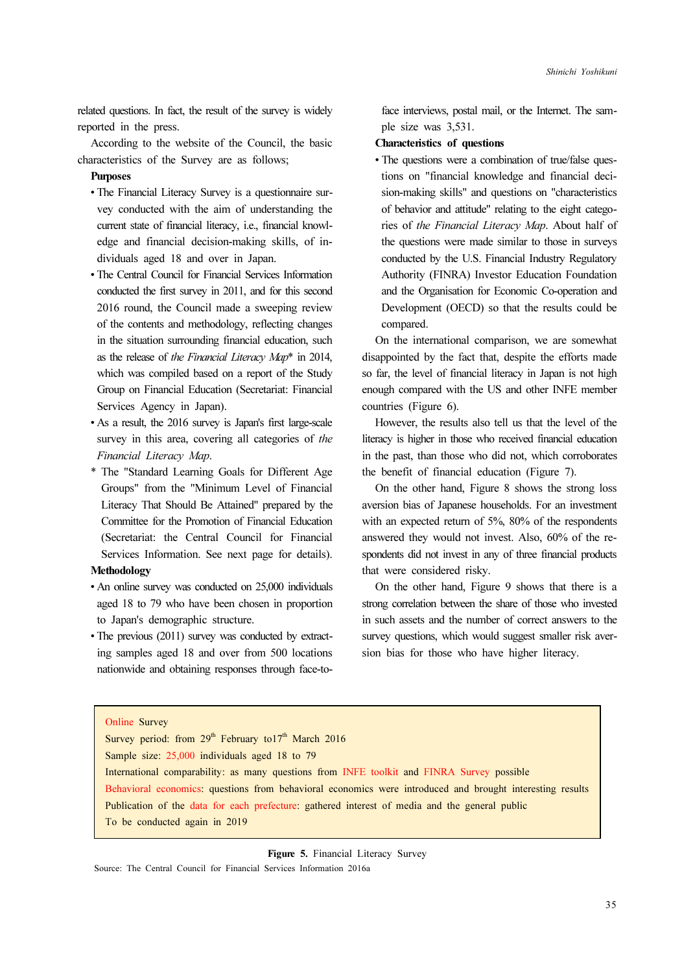related questions. In fact, the result of the survey is widely reported in the press.

According to the website of the Council, the basic characteristics of the Survey are as follows;

### **Purposes**

- The Financial Literacy Survey is a questionnaire survey conducted with the aim of understanding the current state of financial literacy, i.e., financial knowledge and financial decision-making skills, of individuals aged 18 and over in Japan.
- The Central Council for Financial Services Information conducted the first survey in 2011, and for this second 2016 round, the Council made a sweeping review of the contents and methodology, reflecting changes in the situation surrounding financial education, such as the release of the Financial Literacy Map\* in 2014, which was compiled based on a report of the Study Group on Financial Education (Secretariat: Financial Services Agency in Japan).
- As a result, the 2016 survey is Japan's first large-scale survey in this area, covering all categories of the Financial Literacy Map.
- \* The "Standard Learning Goals for Different Age Groups" from the "Minimum Level of Financial Literacy That Should Be Attained" prepared by the Committee for the Promotion of Financial Education (Secretariat: the Central Council for Financial Services Information. See next page for details).

## Methodology

- An online survey was conducted on 25,000 individuals aged 18 to 79 who have been chosen in proportion to Japan's demographic structure.
- The previous (2011) survey was conducted by extracting samples aged 18 and over from 500 locations nationwide and obtaining responses through face-to-

face interviews, postal mail, or the Internet. The sample size was 3,531.

### Characteristics of questions

• The questions were a combination of true/false questions on "financial knowledge and financial decision-making skills" and questions on "characteristics of behavior and attitude" relating to the eight categories of the Financial Literacy Map. About half of the questions were made similar to those in surveys conducted by the U.S. Financial Industry Regulatory Authority (FINRA) Investor Education Foundation and the Organisation for Economic Co-operation and Development (OECD) so that the results could be compared.

On the international comparison, we are somewhat disappointed by the fact that, despite the efforts made so far, the level of financial literacy in Japan is not high enough compared with the US and other INFE member countries (Figure 6).

However, the results also tell us that the level of the literacy is higher in those who received financial education in the past, than those who did not, which corroborates the benefit of financial education (Figure 7).

On the other hand, Figure 8 shows the strong loss aversion bias of Japanese households. For an investment with an expected return of 5%, 80% of the respondents answered they would not invest. Also, 60% of the respondents did not invest in any of three financial products that were considered risky.

On the other hand, Figure 9 shows that there is a strong correlation between the share of those who invested in such assets and the number of correct answers to the survey questions, which would suggest smaller risk aversion bias for those who have higher literacy.

#### Online Survey

Survey period: from  $29<sup>th</sup>$  February to17<sup>th</sup> March 2016 Sample size: 25,000 individuals aged 18 to 79 International comparability: as many questions from INFE toolkit and FINRA Survey possible Behavioral economics: questions from behavioral economics were introduced and brought interesting results Publication of the data for each prefecture: gathered interest of media and the general public To be conducted again in 2019

Figure 5. Financial Literacy Survey

Source: The Central Council for Financial Services Information 2016a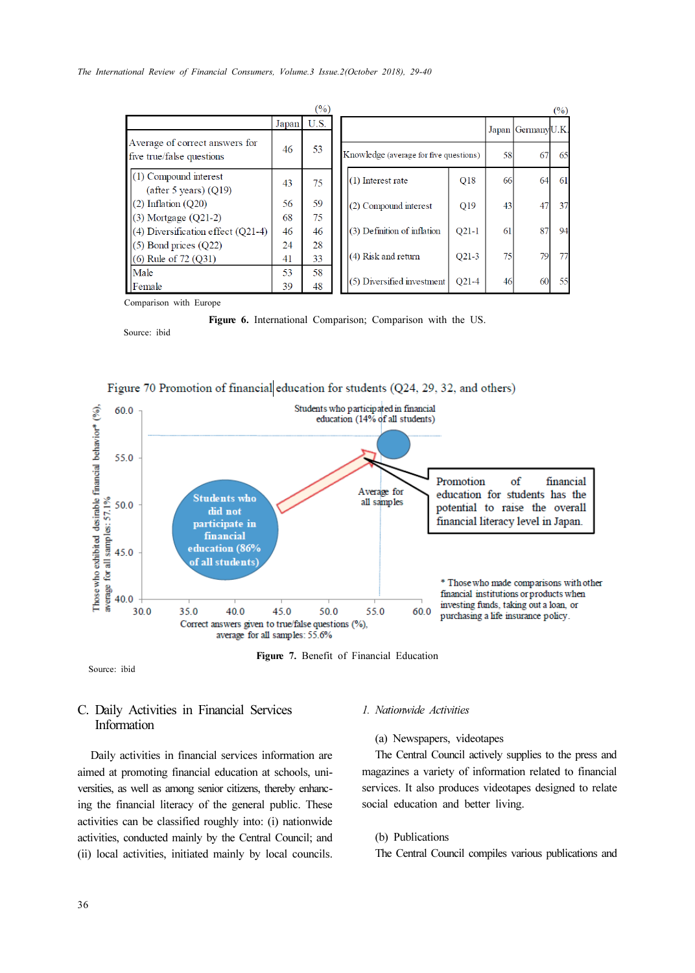|                                                             |       | (%)  |                                        |         |    |                   | (%) |
|-------------------------------------------------------------|-------|------|----------------------------------------|---------|----|-------------------|-----|
|                                                             | Japan | U.S. |                                        |         |    | Japan GermanyU.K. |     |
| Average of correct answers for<br>five true/false questions | 46    | 53   | Knowledge (average for five questions) |         | 58 | 67                | 65  |
| $(1)$ Compound interest<br>(after 5 years) $(Q19)$          | 43    | 75   | (1) Interest rate                      | Q18     | 66 | 64                | 61  |
| $(2)$ Inflation $(020)$                                     | 56    | 59   | (2) Compound interest                  | Q19     | 43 | 47                | 37  |
| $(3)$ Mortgage $(Q21-2)$                                    | 68    | 75   |                                        |         |    |                   |     |
| $(4)$ Diversification effect $(Q21-4)$                      | 46    | 46   | (3) Definition of inflation            | $O21-1$ | 61 | 87                | 94  |
| $(5)$ Bond prices $(Q22)$                                   | 24    | 28   | (4) Risk and return                    | $O21-3$ | 75 | 79                |     |
| $(6)$ Rule of 72 $(Q31)$                                    | 41    | 33   |                                        |         |    |                   |     |
| Male                                                        | 53    | 58   | (5) Diversified investment             | $O21-4$ | 46 | 60                | 55  |
| Female                                                      | 39    | 48   |                                        |         |    |                   |     |

Comparison with Europe

Source: ibid





Figure 7. Benefit of Financial Education

#### Source: ibid

## C. Daily Activities in Financial Services Information

Daily activities in financial services information are aimed at promoting financial education at schools, universities, as well as among senior citizens, thereby enhancing the financial literacy of the general public. These activities can be classified roughly into: (i) nationwide activities, conducted mainly by the Central Council; and (ii) local activities, initiated mainly by local councils.

#### 1. Nationwide Activities

(a) Newspapers, videotapes

The Central Council actively supplies to the press and magazines a variety of information related to financial services. It also produces videotapes designed to relate social education and better living.

- (b) Publications
- The Central Council compiles various publications and

Figure 6. International Comparison; Comparison with the US.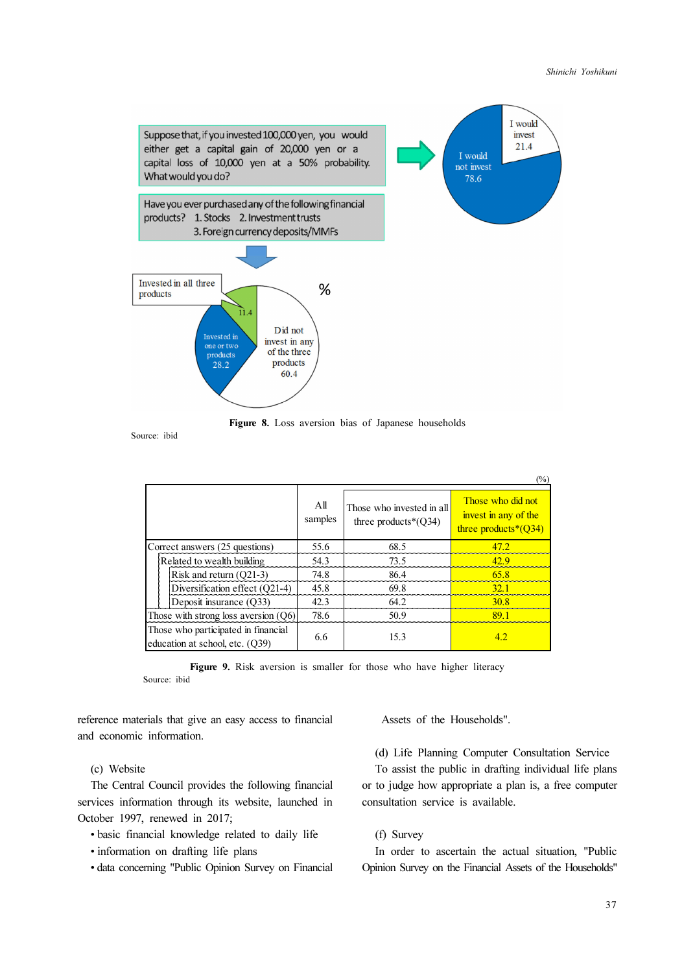

Figure 8. Loss aversion bias of Japanese households

Source: ibid

|                                                                        |                |                                                      | $(\%)$                                                               |
|------------------------------------------------------------------------|----------------|------------------------------------------------------|----------------------------------------------------------------------|
|                                                                        | All<br>samples | Those who invested in all<br>three products $*(O34)$ | Those who did not<br>invest in any of the<br>three products $*(Q34)$ |
| Correct answers (25 questions)                                         | 55.6           | 68.5                                                 | 47 J                                                                 |
| Related to wealth building                                             | 54.3           | 73.5                                                 | 42 Q                                                                 |
| Risk and return (O21-3)                                                | 74.8           | 86.4                                                 | 65.8                                                                 |
| Diversification effect (Q21-4)                                         | 45.8           | 69.8                                                 | 321                                                                  |
| Deposit insurance (O33)                                                | 42.3           | 64.2                                                 | 30 R                                                                 |
| Those with strong loss aversion $(Q6)$                                 | 78.6           | 50.9                                                 | 891                                                                  |
| Those who participated in financial<br>education at school, etc. (O39) | 6.6            | 15.3                                                 |                                                                      |

Figure 9. Risk aversion is smaller for those who have higher literacy Source: ibid

reference materials that give an easy access to financial and economic information.

(c) Website

The Central Council provides the following financial services information through its website, launched in October 1997, renewed in 2017;

- basic financial knowledge related to daily life
- information on drafting life plans
- data concerning "Public Opinion Survey on Financial

Assets of the Households".

(d) Life Planning Computer Consultation Service

To assist the public in drafting individual life plans or to judge how appropriate a plan is, a free computer consultation service is available.

### (f) Survey

In order to ascertain the actual situation, "Public Opinion Survey on the Financial Assets of the Households"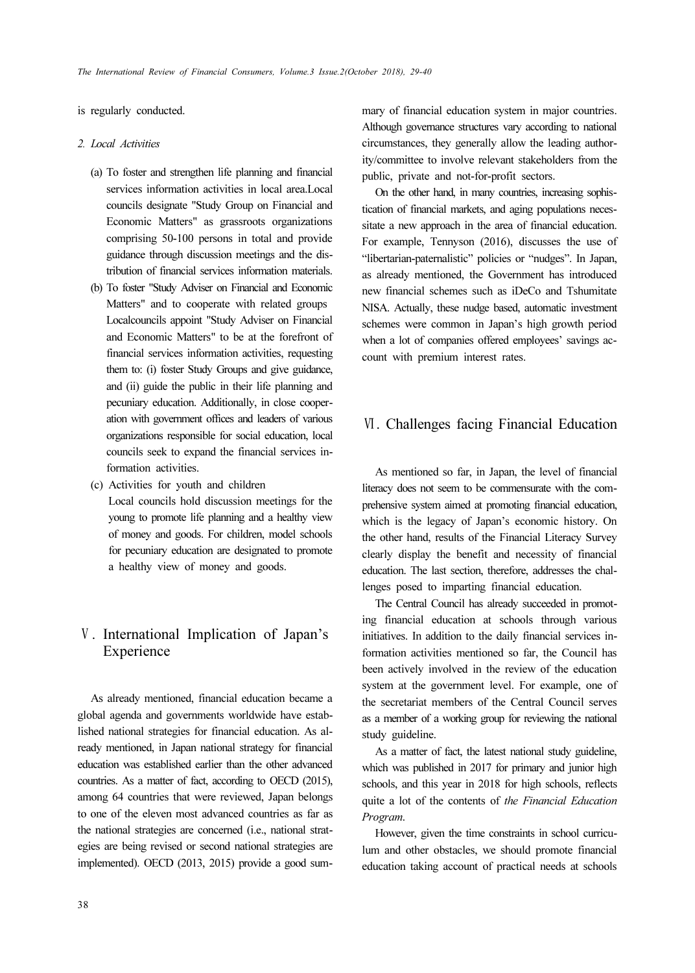### is regularly conducted.

### 2. Local Activities

- (a) To foster and strengthen life planning and financial services information activities in local area.Local councils designate "Study Group on Financial and Economic Matters" as grassroots organizations comprising 50-100 persons in total and provide guidance through discussion meetings and the distribution of financial services information materials.
- (b) To foster "Study Adviser on Financial and Economic Matters" and to cooperate with related groups Localcouncils appoint "Study Adviser on Financial and Economic Matters" to be at the forefront of financial services information activities, requesting them to: (i) foster Study Groups and give guidance, and (ii) guide the public in their life planning and pecuniary education. Additionally, in close cooperation with government offices and leaders of various organizations responsible for social education, local councils seek to expand the financial services information activities.
- (c) Activities for youth and children Local councils hold discussion meetings for the young to promote life planning and a healthy view of money and goods. For children, model schools for pecuniary education are designated to promote a healthy view of money and goods.

# Ⅴ. International Implication of Japan's Experience

As already mentioned, financial education became a global agenda and governments worldwide have established national strategies for financial education. As already mentioned, in Japan national strategy for financial education was established earlier than the other advanced countries. As a matter of fact, according to OECD (2015), among 64 countries that were reviewed, Japan belongs to one of the eleven most advanced countries as far as the national strategies are concerned (i.e., national strategies are being revised or second national strategies are implemented). OECD (2013, 2015) provide a good summary of financial education system in major countries. Although governance structures vary according to national circumstances, they generally allow the leading authority/committee to involve relevant stakeholders from the public, private and not-for-profit sectors.

On the other hand, in many countries, increasing sophistication of financial markets, and aging populations necessitate a new approach in the area of financial education. For example, Tennyson (2016), discusses the use of "libertarian-paternalistic" policies or "nudges". In Japan, as already mentioned, the Government has introduced new financial schemes such as iDeCo and Tshumitate NISA. Actually, these nudge based, automatic investment schemes were common in Japan's high growth period when a lot of companies offered employees' savings account with premium interest rates.

## Ⅵ. Challenges facing Financial Education

As mentioned so far, in Japan, the level of financial literacy does not seem to be commensurate with the comprehensive system aimed at promoting financial education, which is the legacy of Japan's economic history. On the other hand, results of the Financial Literacy Survey clearly display the benefit and necessity of financial education. The last section, therefore, addresses the challenges posed to imparting financial education.

The Central Council has already succeeded in promoting financial education at schools through various initiatives. In addition to the daily financial services information activities mentioned so far, the Council has been actively involved in the review of the education system at the government level. For example, one of the secretariat members of the Central Council serves as a member of a working group for reviewing the national study guideline.

As a matter of fact, the latest national study guideline, which was published in 2017 for primary and junior high schools, and this year in 2018 for high schools, reflects quite a lot of the contents of the Financial Education Program.

However, given the time constraints in school curriculum and other obstacles, we should promote financial education taking account of practical needs at schools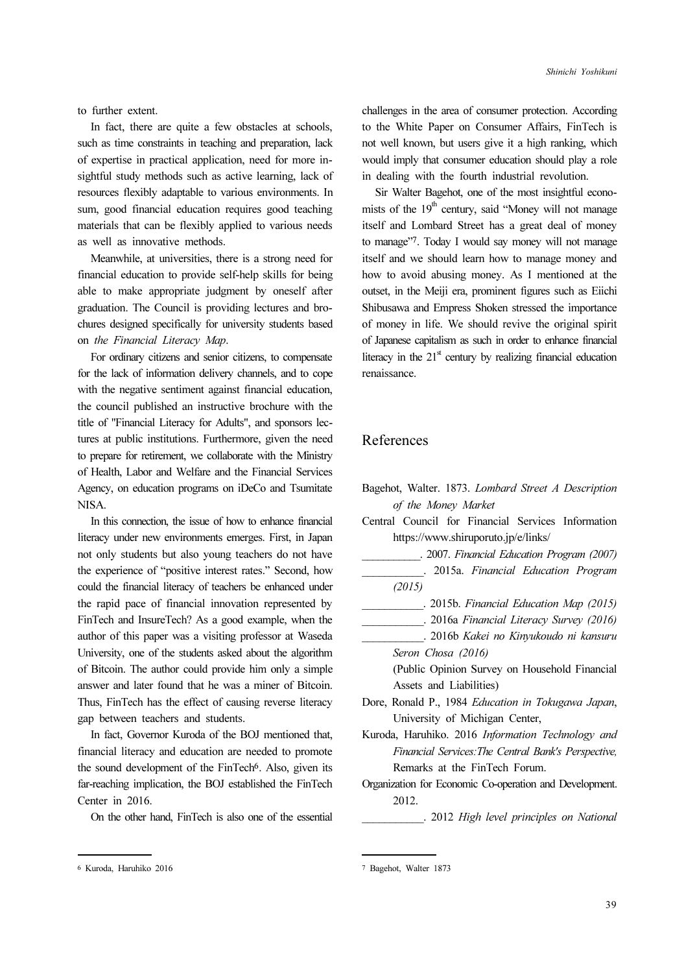to further extent.

In fact, there are quite a few obstacles at schools, such as time constraints in teaching and preparation, lack of expertise in practical application, need for more insightful study methods such as active learning, lack of resources flexibly adaptable to various environments. In sum, good financial education requires good teaching materials that can be flexibly applied to various needs as well as innovative methods.

Meanwhile, at universities, there is a strong need for financial education to provide self-help skills for being able to make appropriate judgment by oneself after graduation. The Council is providing lectures and brochures designed specifically for university students based on the Financial Literacy Map.

For ordinary citizens and senior citizens, to compensate for the lack of information delivery channels, and to cope with the negative sentiment against financial education, the council published an instructive brochure with the title of "Financial Literacy for Adults", and sponsors lectures at public institutions. Furthermore, given the need to prepare for retirement, we collaborate with the Ministry of Health, Labor and Welfare and the Financial Services Agency, on education programs on iDeCo and Tsumitate NISA.

In this connection, the issue of how to enhance financial literacy under new environments emerges. First, in Japan not only students but also young teachers do not have the experience of "positive interest rates." Second, how could the financial literacy of teachers be enhanced under the rapid pace of financial innovation represented by FinTech and InsureTech? As a good example, when the author of this paper was a visiting professor at Waseda University, one of the students asked about the algorithm of Bitcoin. The author could provide him only a simple answer and later found that he was a miner of Bitcoin. Thus, FinTech has the effect of causing reverse literacy gap between teachers and students.

In fact, Governor Kuroda of the BOJ mentioned that, financial literacy and education are needed to promote the sound development of the FinTech<sup>6</sup>. Also, given its far-reaching implication, the BOJ established the FinTech Center in 2016.

On the other hand, FinTech is also one of the essential

challenges in the area of consumer protection. According to the White Paper on Consumer Affairs, FinTech is not well known, but users give it a high ranking, which would imply that consumer education should play a role in dealing with the fourth industrial revolution.

Sir Walter Bagehot, one of the most insightful economists of the  $19<sup>th</sup>$  century, said "Money will not manage itself and Lombard Street has a great deal of money to manage"7. Today I would say money will not manage itself and we should learn how to manage money and how to avoid abusing money. As I mentioned at the outset, in the Meiji era, prominent figures such as Eiichi Shibusawa and Empress Shoken stressed the importance of money in life. We should revive the original spirit of Japanese capitalism as such in order to enhance financial literacy in the  $21<sup>st</sup>$  century by realizing financial education renaissance.

### References

| Bagehot, Walter. 1873. Lombard Street A Description     |
|---------------------------------------------------------|
| of the Money Market                                     |
| Central Council for Financial Services Information      |
| https://www.shiruporuto.jp/e/links/                     |
| . 2007. Financial Education Program (2007)              |
| . 2015a. Financial Education Program                    |
| (2015)                                                  |
| . 2015b. Financial Education Map (2015)                 |
| . 2016a Financial Literacy Survey (2016)                |
| . 2016b Kakei no Kinyukoudo ni kansuru                  |
| Seron Chosa (2016)                                      |
| (Public Opinion Survey on Household Financial)          |
| Assets and Liabilities)                                 |
| Dore, Ronald P., 1984 Education in Tokugawa Japan,      |
| University of Michigan Center,                          |
| Kuroda, Haruhiko. 2016 Information Technology and       |
| Financial Services: The Central Bank's Perspective,     |
| Remarks at the FinTech Forum.                           |
| Organization for Economic Co-operation and Development. |
| 2012.                                                   |
| . 2012 High level principles on National                |
|                                                         |

<sup>6</sup> Kuroda, Haruhiko 2016

<sup>7</sup> Bagehot, Walter 1873